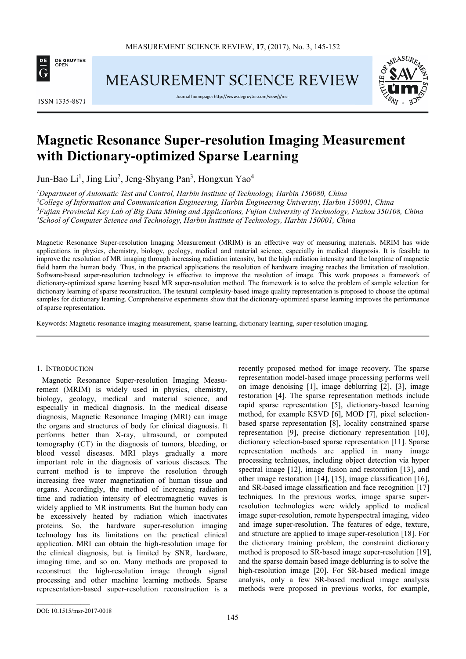

MEASUREMENT SCIENCE REVIEW



Journal homepage: http://www.degruyter.com/view/j/msr



# **Magnetic Resonance Super-resolution Imaging Measurement with Dictionary-optimized Sparse Learning**

Jun-Bao Li<sup>1</sup>, Jing Liu<sup>2</sup>, Jeng-Shyang Pan<sup>3</sup>, Hongxun Yao<sup>4</sup>

*Department of Automatic Test and Control, Harbin Institute of Technology, Harbin 150080, China College of Information and Communication Engineering, Harbin Engineering University, Harbin 150001, China Fujian Provincial Key Lab of Big Data Mining and Applications, Fujian University of Technology, Fuzhou 350108, China School of Computer Science and Technology, Harbin Institute of Technology, Harbin 150001, China* 

Magnetic Resonance Super-resolution Imaging Measurement (MRIM) is an effective way of measuring materials. MRIM has wide applications in physics, chemistry, biology, geology, medical and material science, especially in medical diagnosis. It is feasible to improve the resolution of MR imaging through increasing radiation intensity, but the high radiation intensity and the longtime of magnetic field harm the human body. Thus, in the practical applications the resolution of hardware imaging reaches the limitation of resolution. Software-based super-resolution technology is effective to improve the resolution of image. This work proposes a framework of dictionary-optimized sparse learning based MR super-resolution method. The framework is to solve the problem of sample selection for dictionary learning of sparse reconstruction. The textural complexity-based image quality representation is proposed to choose the optimal samples for dictionary learning. Comprehensive experiments show that the dictionary-optimized sparse learning improves the performance of sparse representation.

Keywords: Magnetic resonance imaging measurement, sparse learning, dictionary learning, super-resolution imaging.

# 1. INTRODUCTION

Magnetic Resonance Super-resolution Imaging Measurement (MRIM) is widely used in physics, chemistry, biology, geology, medical and material science, and especially in medical diagnosis. In the medical disease diagnosis, Magnetic Resonance Imaging (MRI) can image the organs and structures of body for clinical diagnosis. It performs better than X-ray, ultrasound, or computed tomography (CT) in the diagnosis of tumors, bleeding, or blood vessel diseases. MRI plays gradually a more important role in the diagnosis of various diseases. The current method is to improve the resolution through increasing free water magnetization of human tissue and organs. Accordingly, the method of increasing radiation time and radiation intensity of electromagnetic waves is widely applied to MR instruments. But the human body can be excessively heated by radiation which inactivates proteins. So, the hardware super-resolution imaging technology has its limitations on the practical clinical application. MRI can obtain the high-resolution image for the clinical diagnosis, but is limited by SNR, hardware, imaging time, and so on. Many methods are proposed to reconstruct the high-resolution image through signal processing and other machine learning methods. Sparse representation-based super-resolution reconstruction is a

representation model-based image processing performs well on image denoising [1], image deblurring [2], [3], image restoration [4]. The sparse representation methods include rapid sparse representation [5], dictionary-based learning method, for example KSVD [6], MOD [7], pixel selectionbased sparse representation [8], locality constrained sparse representation [9], precise dictionary representation [10], dictionary selection-based sparse representation [11]. Sparse representation methods are applied in many image processing techniques, including object detection via hyper spectral image [12], image fusion and restoration [13], and other image restoration [14], [15], image classification [16], and SR-based image classification and face recognition [17] techniques. In the previous works, image sparse superresolution technologies were widely applied to medical image super-resolution, remote hyperspectral imaging, video and image super-resolution. The features of edge, texture, and structure are applied to image super-resolution [18]. For the dictionary training problem, the constraint dictionary method is proposed to SR-based image super-resolution [19], and the sparse domain based image deblurring is to solve the high-resolution image [20]. For SR-based medical image analysis, only a few SR-based medical image analysis methods were proposed in previous works, for example,

recently proposed method for image recovery. The sparse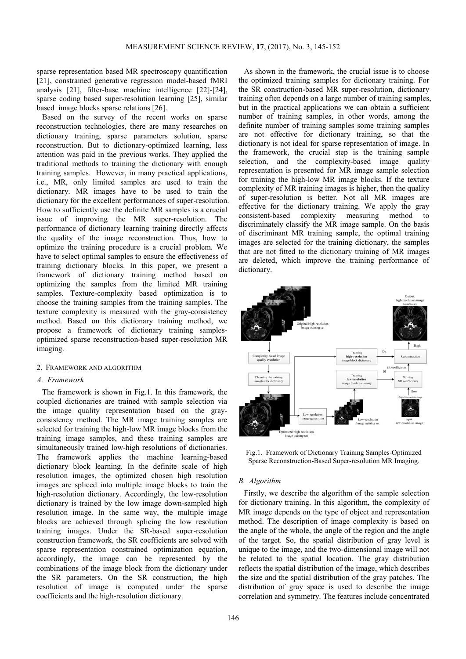sparse representation based MR spectroscopy quantification [21], constrained generative regression model-based fMRI analysis [21], filter-base machine intelligence [22]-[24], sparse coding based super-resolution learning [25], similar based image blocks sparse relations [26].

Based on the survey of the recent works on sparse reconstruction technologies, there are many researches on dictionary training, sparse parameters solution, sparse reconstruction. But to dictionary-optimized learning, less attention was paid in the previous works. They applied the traditional methods to training the dictionary with enough training samples. However, in many practical applications, i.e., MR, only limited samples are used to train the dictionary. MR images have to be used to train the dictionary for the excellent performances of super-resolution. How to sufficiently use the definite MR samples is a crucial issue of improving the MR super-resolution. The performance of dictionary learning training directly affects the quality of the image reconstruction. Thus, how to optimize the training procedure is a crucial problem. We have to select optimal samples to ensure the effectiveness of training dictionary blocks. In this paper, we present a framework of dictionary training method based on optimizing the samples from the limited MR training samples. Texture-complexity based optimization is to choose the training samples from the training samples. The texture complexity is measured with the gray-consistency method. Based on this dictionary training method, we propose a framework of dictionary training samplesoptimized sparse reconstruction-based super-resolution MR imaging.

#### 2. FRAMEWORK AND ALGORITHM

# *A. Framework*

The framework is shown in Fig.1. In this framework, the coupled dictionaries are trained with sample selection via the image quality representation based on the grayconsistency method. The MR image training samples are selected for training the high-low MR image blocks from the training image samples, and these training samples are simultaneously trained low-high resolutions of dictionaries. The framework applies the machine learning-based dictionary block learning. In the definite scale of high resolution images, the optimized chosen high resolution images are spliced into multiple image blocks to train the high-resolution dictionary. Accordingly, the low-resolution dictionary is trained by the low image down-sampled high resolution image. In the same way, the multiple image blocks are achieved through splicing the low resolution training images. Under the SR-based super-resolution construction framework, the SR coefficients are solved with sparse representation constrained optimization equation, accordingly, the image can be represented by the combinations of the image block from the dictionary under the SR parameters. On the SR construction, the high resolution of image is computed under the sparse coefficients and the high-resolution dictionary.

As shown in the framework, the crucial issue is to choose the optimized training samples for dictionary training. For the SR construction-based MR super-resolution, dictionary training often depends on a large number of training samples, but in the practical applications we can obtain a sufficient number of training samples, in other words, among the definite number of training samples some training samples are not effective for dictionary training, so that the dictionary is not ideal for sparse representation of image. In the framework, the crucial step is the training sample selection, and the complexity-based image quality representation is presented for MR image sample selection for training the high-low MR image blocks. If the texture complexity of MR training images is higher, then the quality of super-resolution is better. Not all MR images are effective for the dictionary training. We apply the gray consistent-based complexity measuring method to discriminately classify the MR image sample. On the basis of discriminant MR training sample, the optimal training images are selected for the training dictionary, the samples that are not fitted to the dictionary training of MR images are deleted, which improve the training performance of dictionary.



Fig.1. Framework of Dictionary Training Samples-Optimized Sparse Reconstruction-Based Super-resolution MR Imaging.

# *B. Algorithm*

Firstly, we describe the algorithm of the sample selection for dictionary training. In this algorithm, the complexity of MR image depends on the type of object and representation method. The description of image complexity is based on the angle of the whole, the angle of the region and the angle of the target. So, the spatial distribution of gray level is unique to the image, and the two-dimensional image will not be related to the spatial location. The gray distribution reflects the spatial distribution of the image, which describes the size and the spatial distribution of the gray patches. The distribution of gray space is used to describe the image correlation and symmetry. The features include concentrated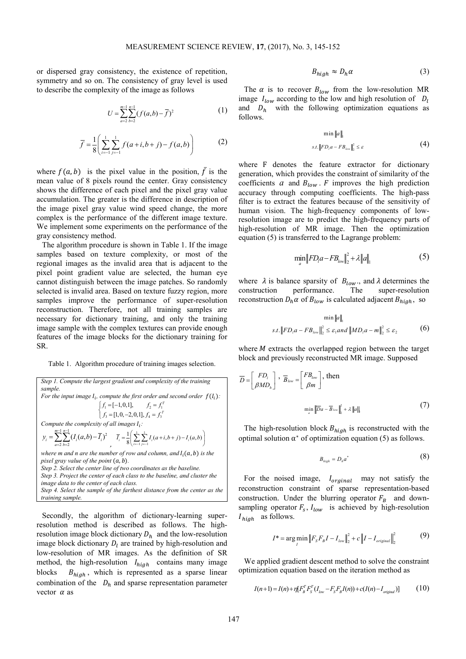or dispersed gray consistency, the existence of repetition, symmetry and so on. The consistency of gray level is used to describe the complexity of the image as follows

$$
U = \sum_{a=2}^{m-1} \sum_{b=2}^{n-1} (f(a,b) - \overline{f})^2
$$
 (1)

$$
\overline{f} = \frac{1}{8} \left( \sum_{i=-1}^{1} \sum_{j=-1}^{1} f(a+i, b+j) - f(a, b) \right)
$$
 (2)

where  $f(a, b)$  is the pixel value in the position,  $\bar{f}$  is the mean value of 8 pixels round the center. Gray consistency shows the difference of each pixel and the pixel gray value accumulation. The greater is the difference in description of the image pixel gray value wind speed change, the more complex is the performance of the different image texture. We implement some experiments on the performance of the gray consistency method.

The algorithm procedure is shown in Table 1. If the image samples based on texture complexity, or most of the regional images as the invalid area that is adjacent to the pixel point gradient value are selected, the human eye cannot distinguish between the image patches. So randomly selected is invalid area. Based on texture fuzzy region, more samples improve the performance of super-resolution reconstruction. Therefore, not all training samples are necessary for dictionary training, and only the training image sample with the complex textures can provide enough features of the image blocks for the dictionary training for SR.

Table 1. Algorithm procedure of training images selection.

| Step 1. Compute the largest gradient and complexity of the training<br>sample.                                                                                                     |
|------------------------------------------------------------------------------------------------------------------------------------------------------------------------------------|
|                                                                                                                                                                                    |
| For the input image $I_i$ , compute the first order and second order $f(I_i)$ :                                                                                                    |
| $\begin{cases} f_1 = [-1, 0, 1], & f_2 = f_1^T \\ f_3 = [1, 0, -2, 0, 1], f_4 = f_3^T \end{cases}$                                                                                 |
|                                                                                                                                                                                    |
| Compute the complexity of all images $I_i$ :                                                                                                                                       |
| $y_i = \sum_{a=2}^{m-1} \sum_{b=2}^{n-1} (I_i(a,b) - \overline{I}_i)^2 \qquad \overline{I}_i = \frac{1}{8} \left( \sum_{i=-1}^{1} \sum_{j=-1}^{1} I_i(a+i,b+j) - I_i(a,b) \right)$ |
| where m and n are the number of row and column, and $I_i(a, b)$ is the                                                                                                             |
| pixel gray value of the point $(a, b)$ .                                                                                                                                           |
| Step 2. Select the center line of two coordinates as the baseline.                                                                                                                 |
| Step 3. Project the center of each class to the baseline, and cluster the                                                                                                          |
| image data to the center of each class.                                                                                                                                            |
| Step 4. Select the sample of the farthest distance from the center as the                                                                                                          |
| training sample.                                                                                                                                                                   |

Secondly, the algorithm of dictionary-learning superresolution method is described as follows. The highresolution image block dictionary  $D_h$  and the low-resolution image block dictionary  $D_l$  are trained by high-resolution and low-resolution of MR images. As the definition of SR method, the high-resolution  $I_{high}$  contains many image blocks  $B_{high}$ , which is represented as a sparse linear combination of the  $D_h$  and sparse representation parameter vector  $\alpha$  as

$$
B_{high} \approx D_h \alpha \tag{3}
$$

The  $\alpha$  is to recover  $B_{low}$  from the low-resolution MR image  $I_{low}$  according to the low and high resolution of  $D_l$ and  $D_h$  with the following optimization equations as follows.

$$
\min ||a||_1
$$
  
s.t.  $||FD_i a - FB_{low}||_2^2 \le \varepsilon$  (4)

where F denotes the feature extractor for dictionary generation, which provides the constraint of similarity of the coefficients  $a$  and  $B_{low}$ .  $F$  improves the high prediction accuracy through computing coefficients. The high-pass filter is to extract the features because of the sensitivity of human vision. The high-frequency components of lowresolution image are to predict the high-frequency parts of high-resolution of MR image. Then the optimization equation (5) is transferred to the Lagrange problem:

$$
\min_{a} \|FD_{i}a - FB_{low}\|_{2}^{2} + \lambda \|a\|_{1}
$$
 (5)

where  $\lambda$  is balance sparsity of  $B_{low}$ , and  $\lambda$  determines the construction performance. The super-resolution construction performance. The super-resolution reconstruction  $D_h \alpha$  of  $B_{low}$  is calculated adjacent  $B_{high}$ , so

$$
\min_{\|a\|_{1}} \|a\|_{1}
$$
  
s.t.  $||FD_{i}a - FB_{low}||_{2}^{2} \le \varepsilon_{1} and ||MD_{i}a - m||_{2}^{2} \le \varepsilon_{2}$  (6)

where  $M$  extracts the overlapped region between the target block and previously reconstructed MR image. Supposed

$$
\overline{D} = \begin{bmatrix} FD_i \\ \beta M D_h \end{bmatrix}, \overline{B}_{low} = \begin{bmatrix} FB_{low} \\ \beta m \end{bmatrix}, \text{ then}
$$
\n
$$
\min_a \|\overline{D}a - \overline{B}_{low}\|_2^2 + \lambda \|a\|_1 \tag{7}
$$

The high-resolution block  $B_{high}$  is reconstructed with the optimal solution  $\alpha^*$  of optimization equation (5) as follows.

$$
B_{high} = D_h a^* \tag{8}
$$

For the noised image,  $I_{original}$  may not satisfy the reconstruction constraint of sparse representation-based construction. Under the blurring operator  $F_B$  and downsampling operator  $F_s$ ,  $I_{low}$  is achieved by high-resolution  $I_{high}$  as follows.

$$
I^* = \arg\min_{I} \|F_{S}F_{B}I - I_{low}\|_{2}^{2} + c\left\|I - I_{original}\right\|_{2}^{2}
$$
 (9)

We applied gradient descent method to solve the constraint optimization equation based on the iteration method as

$$
I(n+1) = I(n) + \eta [F_B^T F_S^T (I_{low} - F_S F_B I(n)) + c(I(n) - I_{original})]
$$
 (10)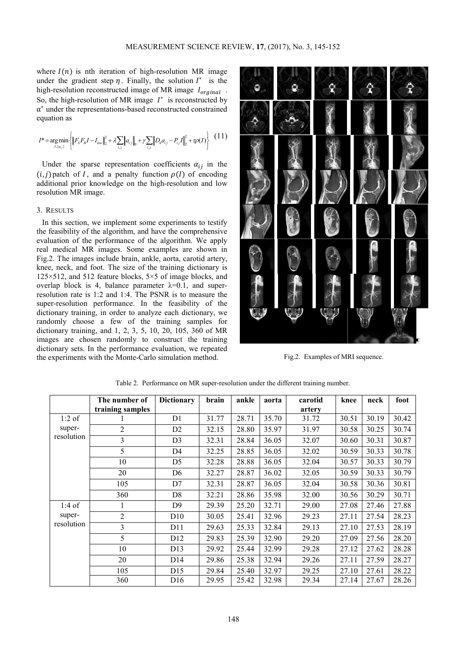where  $I(n)$  is nth iteration of high-resolution MR image under the gradient step  $\eta$ . Finally, the solution  $I^*$  is the high-resolution reconstructed image of MR image  $I_{original}$ . So, the high-resolution of MR image  $I^*$  is reconstructed by α ∗ under the representations-based reconstructed constrained equation as

$$
I^* = \underset{I, \{a_{ij}\}}{\arg \min} \left\{ \left\| F_s F_{\beta} I - I_{low} \right\|_2^2 + \lambda \sum_{i,j} \left\| a_{ij} \right\|_0 + \gamma \sum_{i,j} \left\| D_h a_{ij} - P_{ij} I \right\|_2^2 + \tau \rho(I) \right\} \tag{11}
$$

Under the sparse representation coefficients  $\alpha_{ij}$  in the  $(i, j)$  patch of I, and a penalty function  $\rho(I)$  of encoding additional prior knowledge on the high-resolution and low resolution MR image.

## 3. RESULTS

In this section, we implement some experiments to testify the feasibility of the algorithm, and have the comprehensive evaluation of the performance of the algorithm. We apply real medical MR images. Some examples are shown in Fig.2. The images include brain, ankle, aorta, carotid artery, knee, neck, and foot. The size of the training dictionary is 125×512, and 512 feature blocks, 5×5 of image blocks, and overlap block is 4, balance parameter  $\lambda=0.1$ , and superresolution rate is 1:2 and 1:4. The PSNR is to measure the super-resolution performance. In the feasibility of the dictionary training, in order to analyze each dictionary, we randomly choose a few of the training samples for dictionary training, and 1, 2, 3, 5, 10, 20, 105, 360 of MR images are chosen randomly to construct the training dictionary sets. In the performance evaluation, we repeated the experiments with the Monte-Carlo simulation method. Fig.2. Examples of MRI sequence.



|            | The number of<br>training samples | <b>Dictionary</b> | brain | ankle | aorta | carotid<br>artery | knee  | neck  | foot  |
|------------|-----------------------------------|-------------------|-------|-------|-------|-------------------|-------|-------|-------|
| $1:2$ of   |                                   | D1                | 31.77 | 28.71 | 35.70 | 31.72             | 30.51 | 30.19 | 30.42 |
| super-     | $\overline{2}$                    | D <sub>2</sub>    | 32.15 | 28.80 | 35.97 | 31.97             | 30.58 | 30.25 | 30.74 |
| resolution | 3                                 | D <sub>3</sub>    | 32.31 | 28.84 | 36.05 | 32.07             | 30.60 | 30.31 | 30.87 |
|            | 5                                 | D4                | 32.25 | 28.85 | 36.05 | 32.02             | 30.59 | 30.33 | 30.78 |
|            | 10                                | D5                | 32.28 | 28.88 | 36.05 | 32.04             | 30.57 | 30.33 | 30.79 |
|            | 20                                | D6                | 32.27 | 28.87 | 36.02 | 32.05             | 30.59 | 30.33 | 30.79 |
|            | 105                               | D7                | 32.31 | 28.87 | 36.05 | 32.04             | 30.58 | 30.36 | 30.81 |
|            | 360                               | D8                | 32.21 | 28.86 | 35.98 | 32.00             | 30.56 | 30.29 | 30.71 |
| $1:4$ of   | 1                                 | D <sub>9</sub>    | 29.39 | 25.20 | 32.71 | 29.00             | 27.08 | 27.46 | 27.88 |
| super-     | $\overline{2}$                    | D10               | 30.05 | 25.41 | 32.96 | 29.23             | 27.11 | 27.54 | 28.23 |
| resolution | 3                                 | D11               | 29.63 | 25.33 | 32.84 | 29.13             | 27.10 | 27.53 | 28.19 |
|            | 5                                 | D <sub>12</sub>   | 29.83 | 25.39 | 32.90 | 29.20             | 27.09 | 27.56 | 28.20 |
|            | 10                                | D <sub>13</sub>   | 29.92 | 25.44 | 32.99 | 29.28             | 27.12 | 27.62 | 28.28 |
|            | 20                                | D <sub>14</sub>   | 29.86 | 25.38 | 32.94 | 29.26             | 27.11 | 27.59 | 28.27 |
|            | 105                               | D <sub>15</sub>   | 29.84 | 25.40 | 32.97 | 29.25             | 27.10 | 27.61 | 28.22 |
|            | 360                               | D <sub>16</sub>   | 29.95 | 25.42 | 32.98 | 29.34             | 27.14 | 27.67 | 28.26 |

Table 2. Performance on MR super-resolution under the different training number.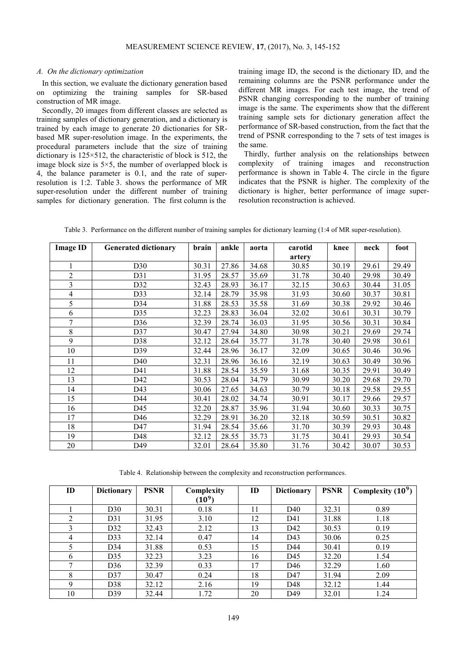#### *A. On the dictionary optimization*

In this section, we evaluate the dictionary generation based on optimizing the training samples for SR-based construction of MR image.

Secondly, 20 images from different classes are selected as training samples of dictionary generation, and a dictionary is trained by each image to generate 20 dictionaries for SRbased MR super-resolution image. In the experiments, the procedural parameters include that the size of training dictionary is 125×512, the characteristic of block is 512, the image block size is  $5 \times 5$ , the number of overlapped block is 4, the balance parameter is 0.1, and the rate of superresolution is 1:2. Table 3. shows the performance of MR super-resolution under the different number of training samples for dictionary generation. The first column is the

training image ID, the second is the dictionary ID, and the remaining columns are the PSNR performance under the different MR images. For each test image, the trend of PSNR changing corresponding to the number of training image is the same. The experiments show that the different training sample sets for dictionary generation affect the performance of SR-based construction, from the fact that the trend of PSNR corresponding to the 7 sets of test images is the same.

Thirdly, further analysis on the relationships between complexity of training images and reconstruction performance is shown in Table 4. The circle in the figure indicates that the PSNR is higher. The complexity of the dictionary is higher, better performance of image superresolution reconstruction is achieved.

| <b>Image ID</b> | <b>Generated dictionary</b> | brain | ankle | aorta | carotid | knee  | neck  | foot  |
|-----------------|-----------------------------|-------|-------|-------|---------|-------|-------|-------|
|                 |                             |       |       |       | artery  |       |       |       |
| 1               | D30                         | 30.31 | 27.86 | 34.68 | 30.85   | 30.19 | 29.61 | 29.49 |
| $\overline{c}$  | D31                         | 31.95 | 28.57 | 35.69 | 31.78   | 30.40 | 29.98 | 30.49 |
| $\mathfrak{Z}$  | D32                         | 32.43 | 28.93 | 36.17 | 32.15   | 30.63 | 30.44 | 31.05 |
| $\overline{4}$  | D33                         | 32.14 | 28.79 | 35.98 | 31.93   | 30.60 | 30.37 | 30.81 |
| 5               | D34                         | 31.88 | 28.53 | 35.58 | 31.69   | 30.38 | 29.92 | 30.46 |
| 6               | D35                         | 32.23 | 28.83 | 36.04 | 32.02   | 30.61 | 30.31 | 30.79 |
| 7               | D36                         | 32.39 | 28.74 | 36.03 | 31.95   | 30.56 | 30.31 | 30.84 |
| 8               | D37                         | 30.47 | 27.94 | 34.80 | 30.98   | 30.21 | 29.69 | 29.74 |
| 9               | D38                         | 32.12 | 28.64 | 35.77 | 31.78   | 30.40 | 29.98 | 30.61 |
| 10              | D39                         | 32.44 | 28.96 | 36.17 | 32.09   | 30.65 | 30.46 | 30.96 |
| 11              | D40                         | 32.31 | 28.96 | 36.16 | 32.19   | 30.63 | 30.49 | 30.96 |
| 12              | D41                         | 31.88 | 28.54 | 35.59 | 31.68   | 30.35 | 29.91 | 30.49 |
| 13              | D42                         | 30.53 | 28.04 | 34.79 | 30.99   | 30.20 | 29.68 | 29.70 |
| 14              | D43                         | 30.06 | 27.65 | 34.63 | 30.79   | 30.18 | 29.58 | 29.55 |
| 15              | D44                         | 30.41 | 28.02 | 34.74 | 30.91   | 30.17 | 29.66 | 29.57 |
| 16              | D45                         | 32.20 | 28.87 | 35.96 | 31.94   | 30.60 | 30.33 | 30.75 |
| 17              | D46                         | 32.29 | 28.91 | 36.20 | 32.18   | 30.59 | 30.51 | 30.82 |
| 18              | D47                         | 31.94 | 28.54 | 35.66 | 31.70   | 30.39 | 29.93 | 30.48 |
| 19              | D48                         | 32.12 | 28.55 | 35.73 | 31.75   | 30.41 | 29.93 | 30.54 |
| 20              | D49                         | 32.01 | 28.64 | 35.80 | 31.76   | 30.42 | 30.07 | 30.53 |

Table 3. Performance on the different number of training samples for dictionary learning (1:4 of MR super-resolution).

Table 4. Relationship between the complexity and reconstruction performances.

| ID           | <b>Dictionary</b> | <b>PSNR</b> | Complexity | ID | <b>Dictionary</b> | <b>PSNR</b> | Complexity $(10^9)$ |
|--------------|-------------------|-------------|------------|----|-------------------|-------------|---------------------|
|              |                   |             | $(10^9)$   |    |                   |             |                     |
|              | D30               | 30.31       | 0.18       |    | D <sub>40</sub>   | 32.31       | 0.89                |
| 2            | D31               | 31.95       | 3.10       | 12 | D <sub>41</sub>   | 31.88       | 1.18                |
| 3            | D32               | 32.43       | 2.12       | 13 | D42               | 30.53       | 0.19                |
| 4            | D33               | 32.14       | 0.47       | 14 | D43               | 30.06       | 0.25                |
|              | D34               | 31.88       | 0.53       | 15 | D44               | 30.41       | 0.19                |
| 6            | D35               | 32.23       | 3.23       | 16 | D45               | 32.20       | 1.54                |
| $\mathbf{r}$ | D <sub>36</sub>   | 32.39       | 0.33       | 17 | D46               | 32.29       | 1.60                |
| 8            | D37               | 30.47       | 0.24       | 18 | D47               | 31.94       | 2.09                |
| 9            | D <sub>38</sub>   | 32.12       | 2.16       | 19 | D48               | 32.12       | 1.44                |
| 10           | D <sub>39</sub>   | 32.44       | .72        | 20 | D49               | 32.01       | 1.24                |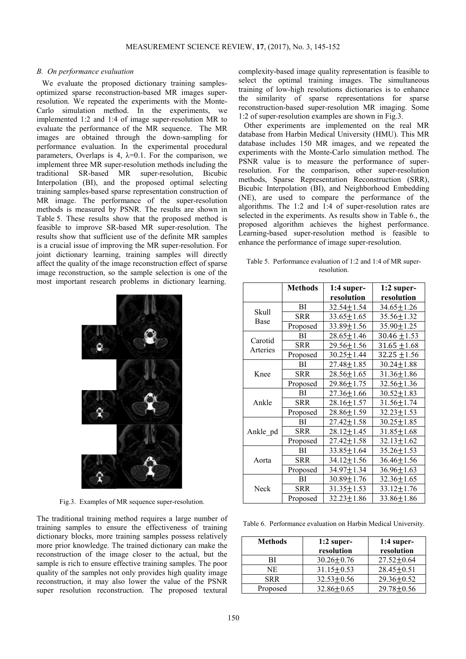# *B. On performance evaluation*

We evaluate the proposed dictionary training samplesoptimized sparse reconstruction-based MR images superresolution. We repeated the experiments with the Monte-Carlo simulation method. In the experiments, we implemented 1:2 and 1:4 of image super-resolution MR to evaluate the performance of the MR sequence. The MR images are obtained through the down-sampling for performance evaluation. In the experimental procedural parameters, Overlaps is 4,  $\lambda$ =0.1. For the comparison, we implement three MR super-resolution methods including the traditional SR-based MR super-resolution, Bicubic Interpolation (BI), and the proposed optimal selecting training samples-based sparse representation construction of MR image. The performance of the super-resolution methods is measured by PSNR. The results are shown in Table 5. These results show that the proposed method is feasible to improve SR-based MR super-resolution. The results show that sufficient use of the definite MR samples is a crucial issue of improving the MR super-resolution. For joint dictionary learning, training samples will directly affect the quality of the image reconstruction effect of sparse image reconstruction, so the sample selection is one of the most important research problems in dictionary learning.



Fig.3. Examples of MR sequence super-resolution.

The traditional training method requires a large number of training samples to ensure the effectiveness of training dictionary blocks, more training samples possess relatively more prior knowledge. The trained dictionary can make the reconstruction of the image closer to the actual, but the sample is rich to ensure effective training samples. The poor quality of the samples not only provides high quality image reconstruction, it may also lower the value of the PSNR super resolution reconstruction. The proposed textural

complexity-based image quality representation is feasible to select the optimal training images. The simultaneous training of low-high resolutions dictionaries is to enhance the similarity of sparse representations for sparse reconstruction-based super-resolution MR imaging. Some 1:2 of super-resolution examples are shown in Fig.3.

Other experiments are implemented on the real MR database from Harbin Medical University (HMU). This MR database includes 150 MR images, and we repeated the experiments with the Monte-Carlo simulation method. The PSNR value is to measure the performance of superresolution. For the comparison, other super-resolution methods, Sparse Representation Reconstruction (SRR), Bicubic Interpolation (BI), and Neighborhood Embedding (NE), are used to compare the performance of the algorithms. The 1:2 and 1:4 of super-resolution rates are selected in the experiments. As results show in Table 6., the proposed algorithm achieves the highest performance. Learning-based super-resolution method is feasible to enhance the performance of image super-resolution.

| Table 5. Performance evaluation of 1:2 and 1:4 of MR super- |
|-------------------------------------------------------------|
| resolution.                                                 |

|                     | <b>Methods</b> | $1:4$ super-     | $1:2$ super-     |
|---------------------|----------------|------------------|------------------|
|                     |                | resolution       | resolution       |
|                     | BI             | $32.54 \pm 1.54$ | $34.65 \pm 1.26$ |
| Skull<br>Base       | <b>SRR</b>     | $33.65 \pm 1.65$ | $35.56 \pm 1.32$ |
|                     | Proposed       | $33.89 \pm 1.56$ | $35.90 \pm 1.25$ |
|                     | BI             | $28.65 \pm 1.46$ | $30.46 \pm 1.53$ |
| Carotid<br>Arteries | <b>SRR</b>     | $29.56 \pm 1.56$ | $31.65 \pm 1.68$ |
|                     | Proposed       | $30.25 \pm 1.44$ | $32.25 \pm 1.56$ |
|                     | BI             | 27.48±1.85       | $30.24 \pm 1.88$ |
| Knee                | <b>SRR</b>     | $28.56 \pm 1.65$ | $31.36 \pm 1.86$ |
|                     | Proposed       | $29.86 \pm 1.75$ | $32.56 \pm 1.36$ |
|                     | BI             | $27.36 \pm 1.66$ | $30.52 \pm 1.83$ |
| Ankle               | <b>SRR</b>     | $28.16 \pm 1.57$ | $31.56 \pm 1.74$ |
|                     | Proposed       | $28.86 \pm 1.59$ | $32.23 \pm 1.53$ |
|                     | <b>BI</b>      | $27.42 \pm 1.58$ | $30.25 \pm 1.85$ |
| Ankle pd            | <b>SRR</b>     | $28.12 \pm 1.45$ | $31.85 \pm 1.68$ |
|                     | Proposed       | $27.42 \pm 1.58$ | $32.13 \pm 1.62$ |
|                     | <b>BI</b>      | $33.85 \pm 1.64$ | $35.26 \pm 1.53$ |
| Aorta               | <b>SRR</b>     | $34.12 \pm 1.56$ | $36.46 \pm 1.56$ |
|                     | Proposed       | 34.97±1.34       | $36.96 \pm 1.63$ |
|                     | BI             | $30.89 \pm 1.76$ | $32.36 \pm 1.65$ |
| Neck                | <b>SRR</b>     | $31.35 \pm 1.53$ | $33.12 \pm 1.76$ |
|                     | Proposed       | $32.23 \pm 1.86$ | $33.86 \pm 1.86$ |

Table 6. Performance evaluation on Harbin Medical University.

| <b>Methods</b> | $1:2$ super-<br>resolution | $1:4$ super-<br>resolution |
|----------------|----------------------------|----------------------------|
| ВI             | $30.26 \pm 0.76$           | $27.52 \pm 0.64$           |
| NE             | $31.15 \pm 0.53$           | $28.45 \pm 0.51$           |
| <b>SRR</b>     | $32.53 \pm 0.56$           | $29.36 \pm 0.52$           |
| Proposed       | $32.86 \pm 0.65$           | $29.78 \pm 0.56$           |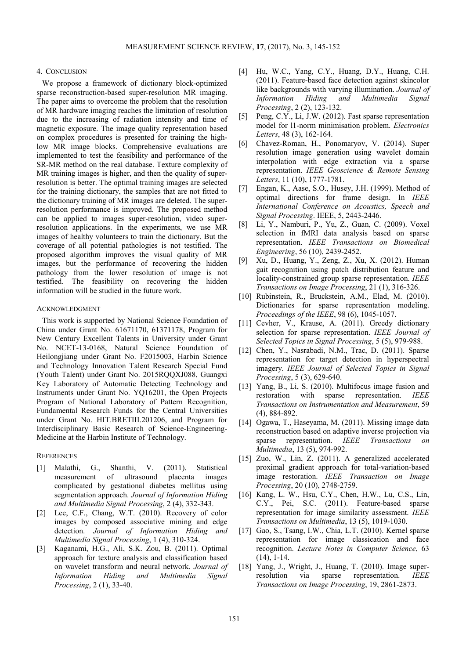## 4. CONCLUSION

We propose a framework of dictionary block-optimized sparse reconstruction-based super-resolution MR imaging. The paper aims to overcome the problem that the resolution of MR hardware imaging reaches the limitation of resolution due to the increasing of radiation intensity and time of magnetic exposure. The image quality representation based on complex procedures is presented for training the highlow MR image blocks. Comprehensive evaluations are implemented to test the feasibility and performance of the SR-MR method on the real database. Texture complexity of MR training images is higher, and then the quality of superresolution is better. The optimal training images are selected for the training dictionary, the samples that are not fitted to the dictionary training of MR images are deleted. The superresolution performance is improved. The proposed method can be applied to images super-resolution, video superresolution applications. In the experiments, we use MR images of healthy volunteers to train the dictionary. But the coverage of all potential pathologies is not testified. The proposed algorithm improves the visual quality of MR images, but the performance of recovering the hidden pathology from the lower resolution of image is not testified. The feasibility on recovering the hidden information will be studied in the future work.

# ACKNOWLEDGMENT

This work is supported by National Science Foundation of China under Grant No. 61671170, 61371178, Program for New Century Excellent Talents in University under Grant No. NCET-13-0168, Natural Science Foundation of Heilongjiang under Grant No. F2015003, Harbin Science and Technology Innovation Talent Research Special Fund (Youth Talent) under Grant No. 2015RQQXJ088, Guangxi Key Laboratory of Automatic Detecting Technology and Instruments under Grant No. YQ16201, the Open Projects Program of National Laboratory of Pattern Recognition, Fundamental Research Funds for the Central Universities under Grant No. HIT.BRETIII.201206, and Program for Interdisciplinary Basic Research of Science-Engineering-Medicine at the Harbin Institute of Technology.

## **REFERENCES**

- [1] Malathi, G., Shanthi, V. (2011). Statistical measurement of ultrasound placenta images complicated by gestational diabetes mellitus using segmentation approach. *Journal of Information Hiding and Multimedia Signal Processing*, 2 (4), 332-343.
- [2] Lee, C.F., Chang, W.T. (2010). Recovery of color images by composed associative mining and edge detection. *Journal of Information Hiding and Multimedia Signal Processing*, 1 (4), 310-324.
- [3] Kaganami, H.G., Ali, S.K. Zou, B. (2011). Optimal approach for texture analysis and classification based on wavelet transform and neural network. *Journal of Information Hiding and Multimedia Signal Processing*, 2 (1), 33-40.
- [4] Hu, W.C., Yang, C.Y., Huang, D.Y., Huang, C.H. (2011). Feature-based face detection against skincolor like backgrounds with varying illumination. *Journal of Information Hiding and Multimedia Signal Processing*, 2 (2), 123-132.
- [5] Peng, C.Y., Li, J.W. (2012). Fast sparse representation model for l1-norm minimisation problem. *Electronics Letters*, 48 (3), 162-164.
- [6] Chavez-Roman, H., Ponomaryov, V. (2014). Super resolution image generation using wavelet domain interpolation with edge extraction via a sparse representation. *IEEE Geoscience & Remote Sensing Letters*, 11 (10), 1777-1781.
- [7] Engan, K., Aase, S.O., Husey, J.H. (1999). Method of optimal directions for frame design. In *IEEE International Conference on Acoustics, Speech and Signal Processing*. IEEE, 5, 2443-2446.
- [8] Li, Y., Namburi, P., Yu, Z., Guan, C. (2009). Voxel selection in fMRI data analysis based on sparse representation. *IEEE Transactions on Biomedical Engineering*, 56 (10), 2439-2452.
- [9] Xu, D., Huang, Y., Zeng, Z., Xu, X. (2012). Human gait recognition using patch distribution feature and locality-constrained group sparse representation. *IEEE Transactions on Image Processing*, 21 (1), 316-326.
- [10] Rubinstein, R., Bruckstein, A.M., Elad, M. (2010). Dictionaries for sparse representation modeling. *Proceedings of the IEEE*, 98 (6), 1045-1057.
- [11] Cevher, V., Krause, A. (2011). Greedy dictionary selection for sparse representation. *IEEE Journal of Selected Topics in Signal Processing*, 5 (5), 979-988.
- [12] Chen, Y., Nasrabadi, N.M., Trac, D. (2011). Sparse representation for target detection in hyperspectral imagery. *IEEE Journal of Selected Topics in Signal Processing*, 5 (3), 629-640.
- [13] Yang, B., Li, S. (2010). Multifocus image fusion and restoration with sparse representation. *IEEE Transactions on Instrumentation and Measurement*, 59 (4), 884-892.
- [14] Ogawa, T., Haseyama, M. (2011). Missing image data reconstruction based on adaptive inverse projection via sparse representation. *IEEE Transactions on Multimedia*, 13 (5), 974-992.
- [15] Zuo, W., Lin, Z. (2011). A generalized accelerated proximal gradient approach for total-variation-based image restoration. *IEEE Transaction on Image Processing*, 20 (10), 2748-2759.
- [16] Kang, L. W., Hsu, C.Y., Chen, H.W., Lu, C.S., Lin, C.Y., Pei, S.C. (2011). Feature-based sparse representation for image similarity assessment. *IEEE Transactions on Multimedia*, 13 (5), 1019-1030.
- [17] Gao, S., Tsang, I.W., Chia, L.T. (2010). Kernel sparse representation for image classication and face recognition. *Lecture Notes in Computer Science*, 63 (14), 1-14.
- [18] Yang, J., Wright, J., Huang, T. (2010). Image superresolution via sparse representation. *IEEE Transactions on Image Processing*, 19, 2861-2873.